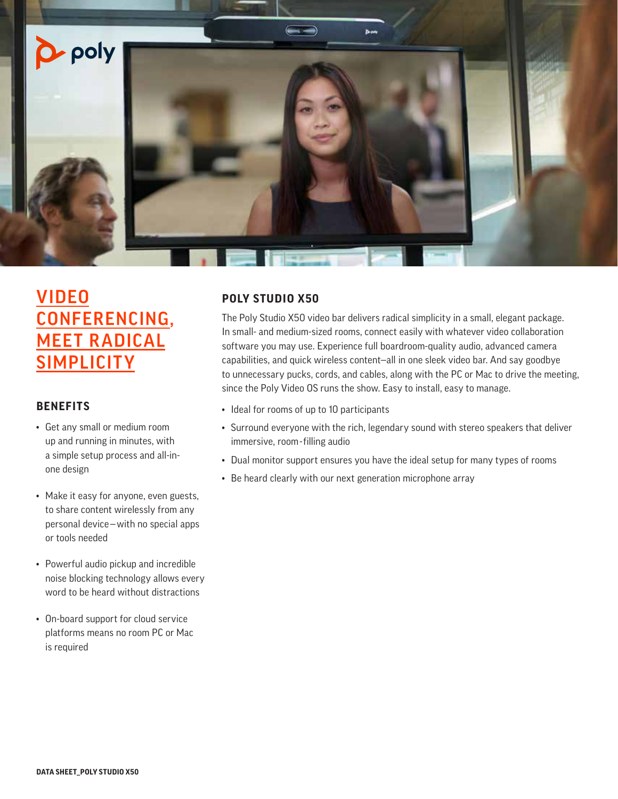

# VIDEO CONFERENCING, **MEET RADICAL SIMPLICITY**

## **BENEFITS**

- Get any small or medium room up and running in minutes, with a simple setup process and all-inone design
- Make it easy for anyone, even guests, to share content wirelessly from any personal device—with no special apps or tools needed
- Powerful audio pickup and incredible noise blocking technology allows every word to be heard without distractions
- On-board support for cloud service platforms means no room PC or Mac is required

# **POLY STUDIO X50**

The Poly Studio X50 video bar delivers radical simplicity in a small, elegant package. In small- and medium-sized rooms, connect easily with whatever video collaboration software you may use. Experience full boardroom-quality audio, advanced camera capabilities, and quick wireless content—all in one sleek video bar. And say goodbye to unnecessary pucks, cords, and cables, along with the PC or Mac to drive the meeting, since the Poly Video OS runs the show. Easy to install, easy to manage.

- Ideal for rooms of up to 10 participants
- Surround everyone with the rich, legendary sound with stereo speakers that deliver immersive, room-filling audio
- Dual monitor support ensures you have the ideal setup for many types of rooms
- Be heard clearly with our next generation microphone array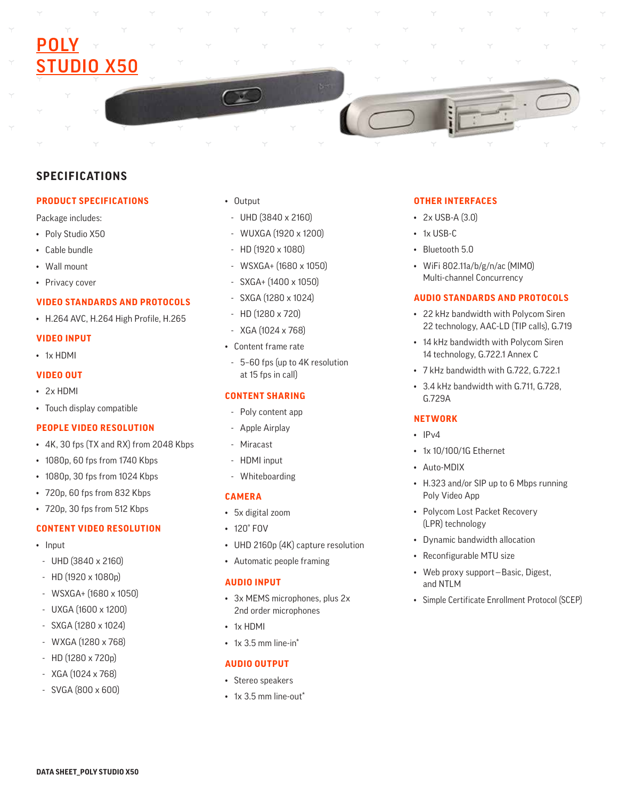# <u>POLY</u> **IO X50**

# **SPECIFICATIONS**

#### **PRODUCT SPECIFICATIONS**

Package includes:

- Poly Studio X50
- Cable bundle
- Wall mount
- Privacy cover

#### **VIDEO STANDARDS AND PROTOCOLS**

• H.264 AVC, H.264 High Profile, H.265

### **VIDEO INPUT**

• 1x HDMI

#### **VIDEO OUT**

- 2x HDMI
- Touch display compatible

#### **PEOPLE VIDEO RESOLUTION**

- 4K, 30 fps (TX and RX) from 2048 Kbps
- 1080p, 60 fps from 1740 Kbps
- 1080p, 30 fps from 1024 Kbps
- 720p, 60 fps from 832 Kbps
- 720p, 30 fps from 512 Kbps

# **CONTENT VIDEO RESOLUTION**

- Input
- UHD (3840 x 2160)
- HD (1920 x 1080p)
- WSXGA+ (1680 x 1050)
- UXGA (1600 x 1200)
- SXGA (1280 x 1024)
- WXGA (1280 x 768)
- HD (1280 x 720p)
- XGA (1024 x 768)
- SVGA (800 x 600)
- Output
- UHD (3840 x 2160)
- WUXGA (1920 x 1200)
- HD (1920 x 1080)
- WSXGA+ (1680 x 1050)
- SXGA+ (1400 x 1050)
- SXGA (1280 x 1024)
- HD (1280 x 720)
- XGA (1024 x 768)
- Content frame rate
- 5–60 fps (up to 4K resolution at 15 fps in call)

## **CONTENT SHARING**

- Poly content app
- Apple Airplay
- Miracast
- HDMI input
- Whiteboarding

#### **CAMERA**

- 5x digital zoom
- 120° FOV
- UHD 2160p (4K) capture resolution
- Automatic people framing

## **AUDIO INPUT**

- 3x MEMS microphones, plus 2x 2nd order microphones
- 1x HDMI
- $\cdot$  1x 3.5 mm line-in\*

#### **AUDIO OUTPUT**

- Stereo speakers
- $\cdot$  1x 3.5 mm line-out\*

### **OTHER INTERFACES**

- 2x USB-A (3.0)
- 1x USB-C
- Bluetooth 5.0
- WiFi 802.11a/b/g/n/ac (MIMO) Multi-channel Concurrency

#### **AUDIO STANDARDS AND PROTOCOLS**

- 22 kHz bandwidth with Polycom Siren 22 technology, AAC-LD (TIP calls), G.719
- 14 kHz bandwidth with Polycom Siren 14 technology, G.722.1 Annex C
- 7 kHz bandwidth with G.722, G.722.1
- 3.4 kHz bandwidth with G.711, G.728, G.729A

#### **NETWORK**

- $\cdot$  IPv4
- 1x 10/100/1G Ethernet
- Auto-MDIX
- H.323 and/or SIP up to 6 Mbps running Poly Video App
- Polycom Lost Packet Recovery (LPR) technology
- Dynamic bandwidth allocation
- Reconfigurable MTU size
- Web proxy support—Basic, Digest, and NTLM
- Simple Certificate Enrollment Protocol (SCEP)